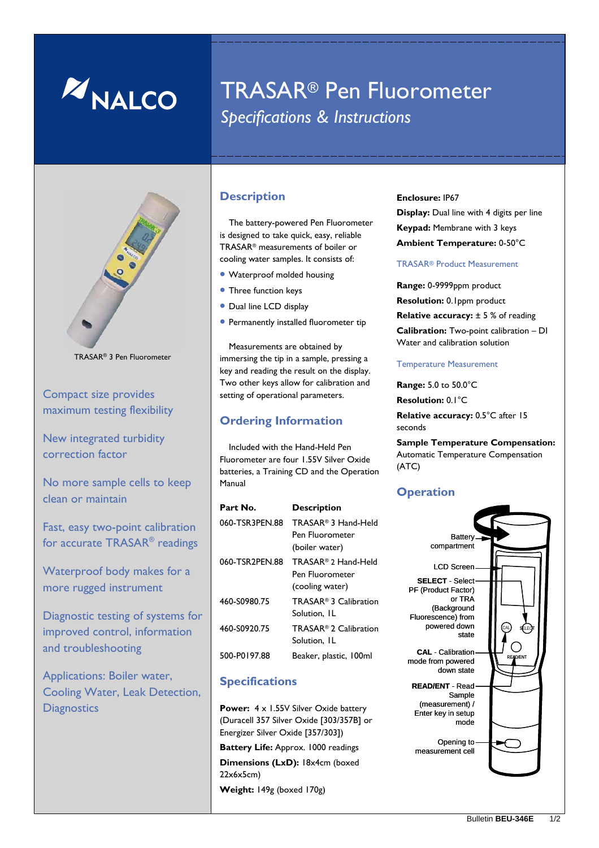

# TRASAR® Pen Fluorometer *Specifications & Instructions*



TRASAR® 3 Pen Fluorometer

Compact size provides maximum testing flexibility

New integrated turbidity correction factor

No more sample cells to keep clean or maintain

Fast, easy two-point calibration for accurate TRASAR® readings

Waterproof body makes for a more rugged instrument

Diagnostic testing of systems for improved control, information and troubleshooting

Applications: Boiler water, Cooling Water, Leak Detection, **Diagnostics** 

#### **Description**

The battery-powered Pen Fluorometer is designed to take quick, easy, reliable TRASAR® measurements of boiler or cooling water samples. It consists of:

- Waterproof molded housing
- Three function keys
- Dual line LCD display
- Permanently installed fluorometer tip

Measurements are obtained by immersing the tip in a sample, pressing a key and reading the result on the display. Two other keys allow for calibration and setting of operational parameters.

#### **Ordering Information**

Included with the Hand-Held Pen Fluorometer are four 1.55V Silver Oxide batteries, a Training CD and the Operation Manual

| Part No.       | <b>Description</b>                                                   |
|----------------|----------------------------------------------------------------------|
| 060-TSR3PEN.88 | TRASAR <sup>®</sup> 3 Hand-Held<br>Pen Fluorometer<br>(boiler water) |
| 060-TSR2PEN.88 | TRASAR® 2 Hand-Held<br>Pen Fluorometer<br>(cooling water)            |
| 460-S0980.75   | TRASAR <sup>®</sup> 3 Calibration<br>Solution, IL                    |
| 460-S0920.75   | TRASAR <sup>®</sup> 2 Calibration<br>Solution, IL                    |
| 500-P0197.88   | Beaker, plastic, 100ml                                               |

### **Specifications**

Power:  $4 \times 1.55V$  Silver Oxide battery (Duracell 357 Silver Oxide [303/357B] or Energizer Silver Oxide [357/303]) **Battery Life:** Approx. 1000 readings **Dimensions (LxD):** 18x4cm (boxed 22x6x5cm) **Weight:** 149g (boxed 170g)

**Enclosure:** IP67 **Display:** Dual line with 4 digits per line **Keypad:** Membrane with 3 keys **Ambient Temperature:** 0-50°C

#### TRASAR® Product Measurement

**Range:** 0-9999ppm product **Resolution:** 0.1ppm product **Relative accuracy:**  $\pm$  5 % of reading **Calibration:** Two-point calibration – DI Water and calibration solution

#### Temperature Measurement

**Range:** 5.0 to 50.0°C **Resolution:** 0.1°C **Relative accuracy: 0.5°C after 15** 

seconds

**Sample Temperature Compensation:**  Automatic Temperature Compensation (ATC)

#### **Operation**